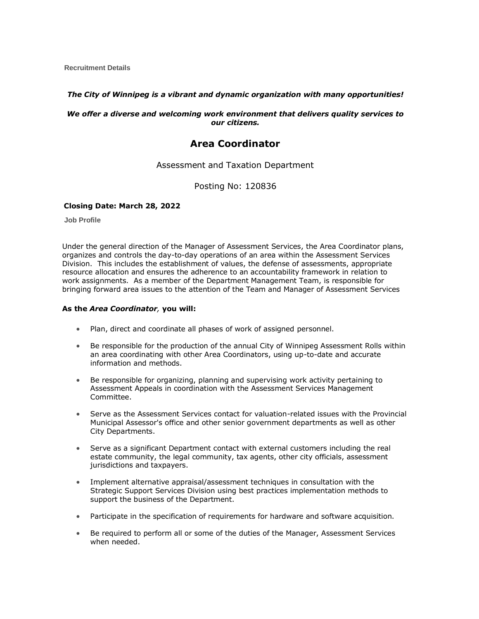**Recruitment Details**

#### *The City of Winnipeg is a vibrant and dynamic organization with many opportunities!*

#### *We offer a diverse and welcoming work environment that delivers quality services to our citizens.*

# **Area Coordinator**

## Assessment and Taxation Department

## Posting No: 120836

#### **Closing Date: March 28, 2022**

**Job Profile**

Under the general direction of the Manager of Assessment Services, the Area Coordinator plans, organizes and controls the day-to-day operations of an area within the Assessment Services Division. This includes the establishment of values, the defense of assessments, appropriate resource allocation and ensures the adherence to an accountability framework in relation to work assignments. As a member of the Department Management Team, is responsible for bringing forward area issues to the attention of the Team and Manager of Assessment Services

#### **As the** *Area Coordinator,* **you will:**

- Plan, direct and coordinate all phases of work of assigned personnel.
- Be responsible for the production of the annual City of Winnipeg Assessment Rolls within an area coordinating with other Area Coordinators, using up-to-date and accurate information and methods.
- Be responsible for organizing, planning and supervising work activity pertaining to Assessment Appeals in coordination with the Assessment Services Management Committee.
- Serve as the Assessment Services contact for valuation-related issues with the Provincial Municipal Assessor's office and other senior government departments as well as other City Departments.
- Serve as a significant Department contact with external customers including the real estate community, the legal community, tax agents, other city officials, assessment jurisdictions and taxpayers.
- Implement alternative appraisal/assessment techniques in consultation with the Strategic Support Services Division using best practices implementation methods to support the business of the Department.
- Participate in the specification of requirements for hardware and software acquisition.
- Be required to perform all or some of the duties of the Manager, Assessment Services when needed.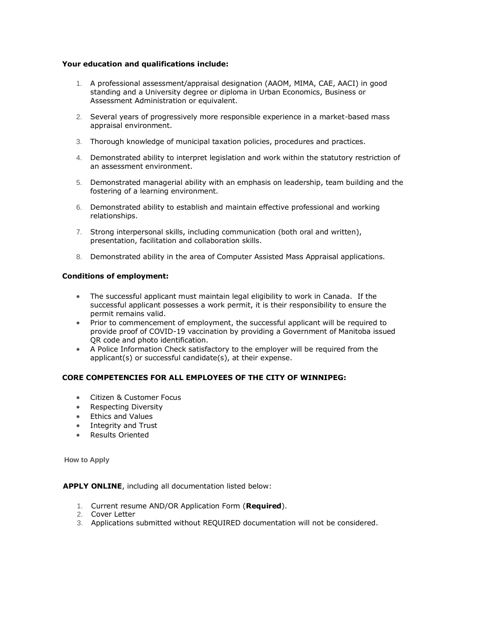#### **Your education and qualifications include:**

- 1. A professional assessment/appraisal designation (AAOM, MIMA, CAE, AACI) in good standing and a University degree or diploma in Urban Economics, Business or Assessment Administration or equivalent.
- 2. Several years of progressively more responsible experience in a market-based mass appraisal environment.
- 3. Thorough knowledge of municipal taxation policies, procedures and practices.
- 4. Demonstrated ability to interpret legislation and work within the statutory restriction of an assessment environment.
- 5. Demonstrated managerial ability with an emphasis on leadership, team building and the fostering of a learning environment.
- 6. Demonstrated ability to establish and maintain effective professional and working relationships.
- 7. Strong interpersonal skills, including communication (both oral and written), presentation, facilitation and collaboration skills.
- 8. Demonstrated ability in the area of Computer Assisted Mass Appraisal applications.

#### **Conditions of employment:**

- The successful applicant must maintain legal eligibility to work in Canada. If the successful applicant possesses a work permit, it is their responsibility to ensure the permit remains valid.
- Prior to commencement of employment, the successful applicant will be required to provide proof of COVID-19 vaccination by providing a Government of Manitoba issued QR code and photo identification.
- A Police Information Check satisfactory to the employer will be required from the applicant(s) or successful candidate(s), at their expense.

#### **CORE COMPETENCIES FOR ALL EMPLOYEES OF THE CITY OF WINNIPEG:**

- Citizen & Customer Focus
- Respecting Diversity
- Ethics and Values
- Integrity and Trust
- Results Oriented

**How to Apply**

**APPLY ONLINE**, including all documentation listed below:

- 1. Current resume AND/OR Application Form (**Required**).
- 2. Cover Letter
- 3. Applications submitted without REQUIRED documentation will not be considered.